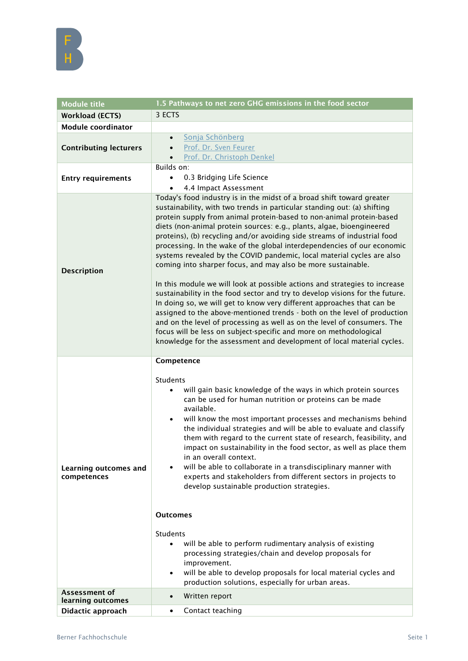

| <b>Module title</b>                  | 1.5 Pathways to net zero GHG emissions in the food sector                                                                                                                                                                                                                                                                                                                                                                                                                                                                                                                                                                                                                                                                                                                                                                                                                                                                                                                                                                                                                                                                                          |
|--------------------------------------|----------------------------------------------------------------------------------------------------------------------------------------------------------------------------------------------------------------------------------------------------------------------------------------------------------------------------------------------------------------------------------------------------------------------------------------------------------------------------------------------------------------------------------------------------------------------------------------------------------------------------------------------------------------------------------------------------------------------------------------------------------------------------------------------------------------------------------------------------------------------------------------------------------------------------------------------------------------------------------------------------------------------------------------------------------------------------------------------------------------------------------------------------|
| <b>Workload (ECTS)</b>               | 3 ECTS                                                                                                                                                                                                                                                                                                                                                                                                                                                                                                                                                                                                                                                                                                                                                                                                                                                                                                                                                                                                                                                                                                                                             |
| <b>Module coordinator</b>            |                                                                                                                                                                                                                                                                                                                                                                                                                                                                                                                                                                                                                                                                                                                                                                                                                                                                                                                                                                                                                                                                                                                                                    |
| <b>Contributing lecturers</b>        | Sonja Schönberg<br>$\bullet$<br>Prof. Dr. Sven Feurer<br>Prof. Dr. Christoph Denkel                                                                                                                                                                                                                                                                                                                                                                                                                                                                                                                                                                                                                                                                                                                                                                                                                                                                                                                                                                                                                                                                |
| <b>Entry requirements</b>            | Builds on:<br>0.3 Bridging Life Science<br>$\bullet$<br>4.4 Impact Assessment<br>$\bullet$                                                                                                                                                                                                                                                                                                                                                                                                                                                                                                                                                                                                                                                                                                                                                                                                                                                                                                                                                                                                                                                         |
| <b>Description</b>                   | Today's food industry is in the midst of a broad shift toward greater<br>sustainability, with two trends in particular standing out: (a) shifting<br>protein supply from animal protein-based to non-animal protein-based<br>diets (non-animal protein sources: e.g., plants, algae, bioengineered<br>proteins), (b) recycling and/or avoiding side streams of industrial food<br>processing. In the wake of the global interdependencies of our economic<br>systems revealed by the COVID pandemic, local material cycles are also<br>coming into sharper focus, and may also be more sustainable.<br>In this module we will look at possible actions and strategies to increase<br>sustainability in the food sector and try to develop visions for the future.<br>In doing so, we will get to know very different approaches that can be<br>assigned to the above-mentioned trends - both on the level of production<br>and on the level of processing as well as on the level of consumers. The<br>focus will be less on subject-specific and more on methodological<br>knowledge for the assessment and development of local material cycles. |
| Learning outcomes and<br>competences | Competence<br>Students<br>will gain basic knowledge of the ways in which protein sources<br>can be used for human nutrition or proteins can be made<br>available.<br>will know the most important processes and mechanisms behind<br>٠<br>the individual strategies and will be able to evaluate and classify<br>them with regard to the current state of research, feasibility, and<br>impact on sustainability in the food sector, as well as place them<br>in an overall context.<br>will be able to collaborate in a transdisciplinary manner with<br>experts and stakeholders from different sectors in projects to<br>develop sustainable production strategies.<br><b>Outcomes</b><br><b>Students</b><br>will be able to perform rudimentary analysis of existing<br>processing strategies/chain and develop proposals for                                                                                                                                                                                                                                                                                                                  |
|                                      | improvement.<br>will be able to develop proposals for local material cycles and<br>$\bullet$<br>production solutions, especially for urban areas.                                                                                                                                                                                                                                                                                                                                                                                                                                                                                                                                                                                                                                                                                                                                                                                                                                                                                                                                                                                                  |
| Assessment of<br>learning outcomes   | Written report<br>$\bullet$                                                                                                                                                                                                                                                                                                                                                                                                                                                                                                                                                                                                                                                                                                                                                                                                                                                                                                                                                                                                                                                                                                                        |
|                                      |                                                                                                                                                                                                                                                                                                                                                                                                                                                                                                                                                                                                                                                                                                                                                                                                                                                                                                                                                                                                                                                                                                                                                    |